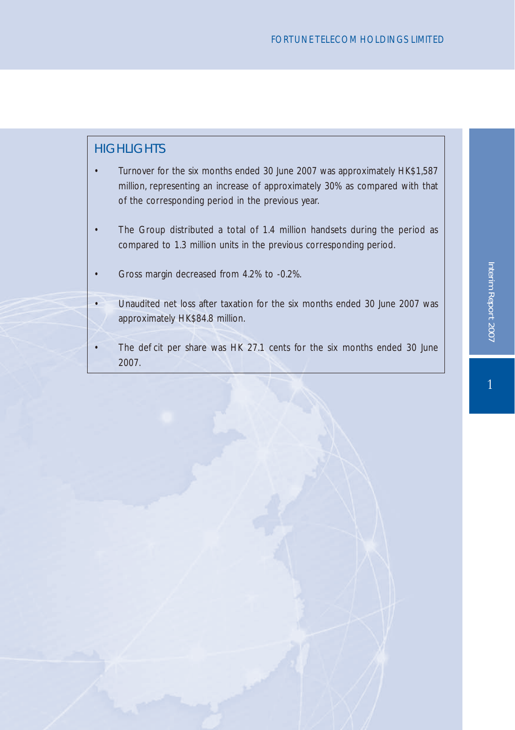# **HIGHLIGHTS**

- Turnover for the six months ended 30 June 2007 was approximately HK\$1,587 million, representing an increase of approximately 30% as compared with that of the corresponding period in the previous year.
- The Group distributed a total of 1.4 million handsets during the period as compared to 1.3 million units in the previous corresponding period.
- Gross margin decreased from 4.2% to -0.2%.
- Unaudited net loss after taxation for the six months ended 30 June 2007 was approximately HK\$84.8 million.
- The de cit per share was HK 27.1 cents for the six months ended 30 June 2007.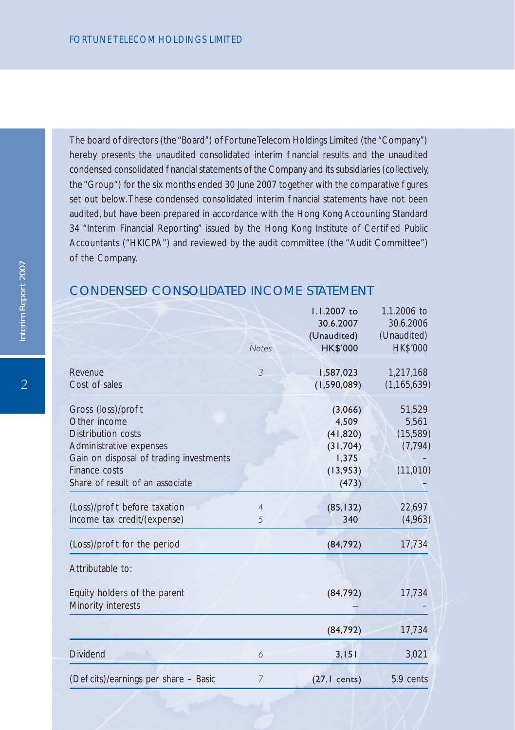The board of directors (the "Board") of Fortune Telecom Holdings Limited (the "Company") hereby presents the unaudited consolidated interim nancial results and the unaudited condensed consolidated nancial statements of the Company and its subsidiaries (collectively, the "Group") for the six months ended 30 June 2007 together with the comparative gures set out below. These condensed consolidated interim enancial statements have not been audited, but have been prepared in accordance with the Hong Kong Accounting Standard 34 "Interim Financial Reporting" issued by the Hong Kong Institute of Certi ed Public Accountants ("HKICPA") and reviewed by the audit committee (the "Audit Committee") of the Company.

|                                                                                                                                                                                    | <b>Notes</b>        | 1.1.2007 to<br>30.6.2007<br>(Unaudited)<br><b>HK\$'000</b>              | 1.1.2006 to<br>30.6.2006<br>(Unaudited)<br><b>HK\$'000</b> |
|------------------------------------------------------------------------------------------------------------------------------------------------------------------------------------|---------------------|-------------------------------------------------------------------------|------------------------------------------------------------|
| Revenue<br>Cost of sales                                                                                                                                                           | 3                   | 1,587,023<br>(1, 590, 089)                                              | 1,217,168<br>(1, 165, 639)                                 |
| Gross (loss)/pro t<br>Other income<br>Distribution costs<br>Administrative expenses<br>Gain on disposal of trading investments<br>Finance costs<br>Share of result of an associate |                     | (3,066)<br>4.509<br>(41, 820)<br>(31,704)<br>1,375<br>(13,953)<br>(473) | 51,529<br>5,561<br>(15,589)<br>(7, 794)<br>(11,010)        |
| (Loss)/pro t before taxation<br>Income tax credit/(expense)                                                                                                                        | $\overline{4}$<br>5 | (85, 132)<br>340                                                        | 22,697<br>(4,963)                                          |
| (Loss)/pro t for the period                                                                                                                                                        |                     | (84, 792)                                                               | 17,734                                                     |
| Attributable to:<br>Equity holders of the parent<br>Minority interests                                                                                                             |                     | (84, 792)                                                               | 17,734                                                     |
|                                                                                                                                                                                    |                     | (84, 792)                                                               | 17,734                                                     |
| Dividend                                                                                                                                                                           | 6                   | 3,151                                                                   | 3,021                                                      |
| (De cits)/earnings per share - Basic                                                                                                                                               | 7                   | $(27.1 \text{ cents})$                                                  | 5.9 cents                                                  |

# CONDENSED CONSOLIDATED INCOME STATEMENT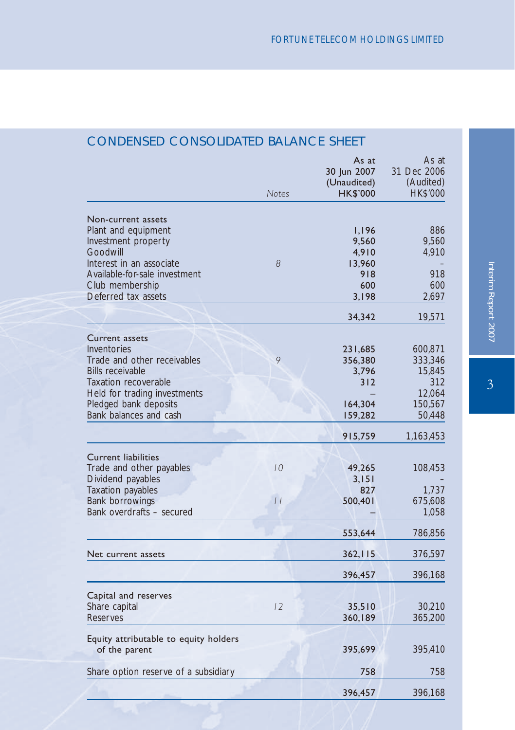|                                                                                                                                                                                                           | <b>Notes</b>        | As at<br>30 Jun 2007<br>(Unaudited)<br><b>HK\$'000</b>   | As at<br>31 Dec 2006<br>(Audited)<br>HK\$'000                      |
|-----------------------------------------------------------------------------------------------------------------------------------------------------------------------------------------------------------|---------------------|----------------------------------------------------------|--------------------------------------------------------------------|
| Non-current assets<br>Plant and equipment<br>Investment property<br>Goodwill<br>Interest in an associate<br>Available-for-sale investment<br>Club membership<br>Deferred tax assets                       | 8                   | 1,196<br>9,560<br>4,910<br>13,960<br>918<br>600<br>3,198 | 886<br>9,560<br>4,910<br>918<br>600<br>2,697                       |
|                                                                                                                                                                                                           |                     | 34,342                                                   | 19,571                                                             |
| <b>Current assets</b><br>Inventories<br>Trade and other receivables<br><b>Bills receivable</b><br>Taxation recoverable<br>Held for trading investments<br>Pledged bank deposits<br>Bank balances and cash | 9                   | 231,685<br>356,380<br>3,796<br>312<br>164,304<br>159,282 | 600,871<br>333,346<br>15,845<br>312<br>12,064<br>150,567<br>50,448 |
|                                                                                                                                                                                                           |                     | 915,759                                                  | 1,163,453                                                          |
| <b>Current liabilities</b><br>Trade and other payables<br>Dividend payables<br>Taxation payables<br>Bank borrowings<br>Bank overdrafts - secured                                                          | 10<br>$\frac{1}{2}$ | 49,265<br>3,151<br>827<br>500,401                        | 108,453<br>1,737<br>675,608<br>1,058                               |
|                                                                                                                                                                                                           |                     | 553,644                                                  | 786,856                                                            |
| Net current assets                                                                                                                                                                                        |                     | 362, 115                                                 | 376,597                                                            |
|                                                                                                                                                                                                           |                     | 396,457                                                  | 396,168                                                            |
| Capital and reserves<br>Share capital<br>Reserves                                                                                                                                                         | 12                  | 35,510<br>360,189                                        | 30,210<br>365,200                                                  |
| Equity attributable to equity holders<br>of the parent                                                                                                                                                    |                     | 395,699                                                  | 395,410                                                            |
| Share option reserve of a subsidiary                                                                                                                                                                      |                     | 758                                                      | 758                                                                |
|                                                                                                                                                                                                           |                     | 396,457                                                  | 396,168                                                            |

# CONDENSED CONSOLIDATED BALANCE SHEET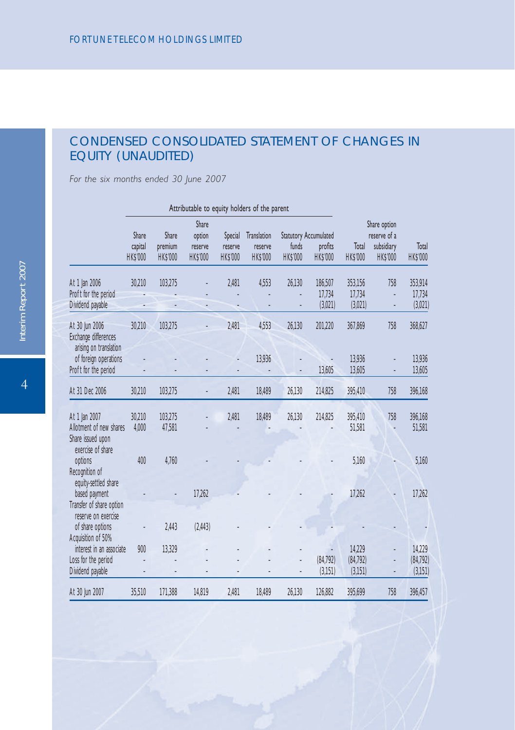# CONDENSED CONSOLIDATED STATEMENT OF CHANGES IN EQUITY (UNAUDITED)

*For the six months ended 30 June 2007*

|                                                                                                                   |                              |                                     |                                               |                                       | Attributable to equity holders of the parent |                                                          |                              |                                |                                                               |                                |
|-------------------------------------------------------------------------------------------------------------------|------------------------------|-------------------------------------|-----------------------------------------------|---------------------------------------|----------------------------------------------|----------------------------------------------------------|------------------------------|--------------------------------|---------------------------------------------------------------|--------------------------------|
|                                                                                                                   | Share<br>capital<br>HK\$'000 | Share<br>premium<br><b>HK\$'000</b> | Share<br>option<br>reserve<br><b>HK\$'000</b> | Special<br>reserve<br><b>HK\$'000</b> | Translation<br>reserve<br><b>HK\$'000</b>    | <b>Statutory Accumulated</b><br>funds<br><b>HK\$'000</b> | profits<br><b>HK\$'000</b>   | Total<br><b>HK\$'000</b>       | Share option<br>reserve of a<br>subsidiary<br><b>HK\$'000</b> | Total<br><b>HK\$'000</b>       |
| At 1 Jan 2006<br>Pro t for the period<br>Dividend payable                                                         | 30,210                       | 103,275                             |                                               | 2.481                                 | 4,553                                        | 26,130                                                   | 186,507<br>17,734<br>(3,021) | 353,156<br>17,734<br>(3,021)   | 758                                                           | 353,914<br>17,734<br>(3,021)   |
| At 30 Jun 2006<br>Exchange differences<br>arising on translation<br>of foreign operations<br>Pro t for the period | 30,210                       | 103,275                             |                                               | 2,481                                 | 4.553<br>13,936                              | 26,130                                                   | 201,220<br>13,605            | 367,869<br>13,936<br>13,605    | 758                                                           | 368,627<br>13,936<br>13,605    |
| At 31 Dec 2006                                                                                                    | 30,210                       | 103,275                             |                                               | 2,481                                 | 18,489                                       | 26,130                                                   | 214,825                      | 395,410                        | 758                                                           | 396,168                        |
| At 1 Jan 2007<br>Allotment of new shares<br>Share issued upon                                                     | 30,210<br>4,000              | 103,275<br>47,581                   |                                               | 2,481                                 | 18,489                                       | 26,130                                                   | 214,825                      | 395,410<br>51,581              | 758                                                           | 396,168<br>51,581              |
| exercise of share<br>options<br>Recognition of                                                                    | 400                          | 4.760                               |                                               |                                       |                                              |                                                          |                              | 5,160                          |                                                               | 5,160                          |
| equity-settled share<br>based payment<br>Transfer of share option<br>reserve on exercise                          |                              |                                     | 17,262                                        |                                       |                                              |                                                          |                              | 17,262                         |                                                               | 17,262                         |
| of share options<br>Acquisition of 50%                                                                            |                              | 2,443                               | (2,443)                                       |                                       |                                              |                                                          |                              |                                |                                                               |                                |
| interest in an associate<br>Loss for the period<br>Dividend payable                                               | 900                          | 13.329                              |                                               |                                       |                                              |                                                          | (84, 792)<br>(3,151)         | 14,229<br>(84, 792)<br>(3,151) |                                                               | 14,229<br>(84, 792)<br>(3,151) |
| At 30 Jun 2007                                                                                                    | 35,510                       | 171,388                             | 14,819                                        | 2,481                                 | 18,489                                       | 26,130                                                   | 126,882                      | 395,699                        | 758                                                           | 396,457                        |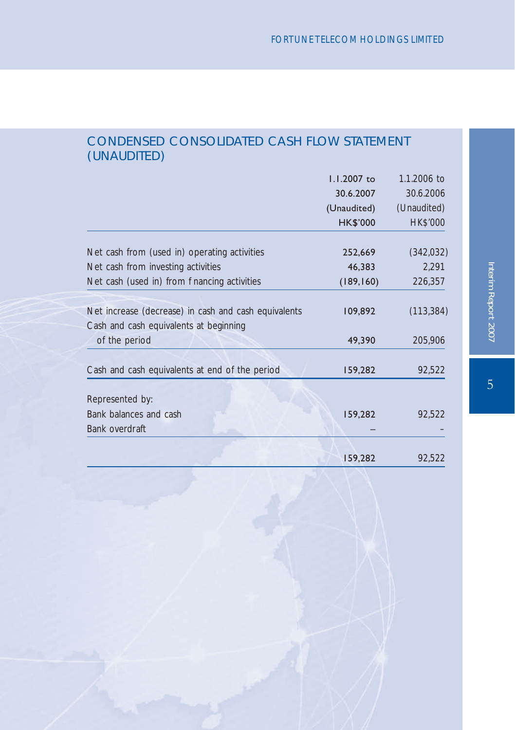# CONDENSED CONSOLIDATED CASH FLOW STATEMENT (UNAUDITED)

|                                                      | 1.1.2007 to     | 1.1.2006 to     |
|------------------------------------------------------|-----------------|-----------------|
|                                                      | 30.6.2007       | 30.6.2006       |
|                                                      | (Unaudited)     | (Unaudited)     |
|                                                      | <b>HK\$'000</b> | <b>HK\$'000</b> |
| Net cash from (used in) operating activities         | 252,669         | (342,032)       |
|                                                      |                 |                 |
| Net cash from investing activities                   | 46,383          | 2,291           |
| Net cash (used in) from nancing activities           | (189, 160)      | 226,357         |
|                                                      |                 |                 |
| Net increase (decrease) in cash and cash equivalents | 109,892         | (113, 384)      |
| Cash and cash equivalents at beginning               |                 |                 |
| of the period                                        | 49,390          | 205,906         |
|                                                      |                 |                 |
| Cash and cash equivalents at end of the period       | 159,282         | 92,522          |
|                                                      |                 |                 |
| Represented by:                                      |                 |                 |
| Bank balances and cash                               | 159,282         | 92,522          |
| Bank overdraft                                       |                 |                 |
|                                                      |                 |                 |
|                                                      | 159,282         | 92,522          |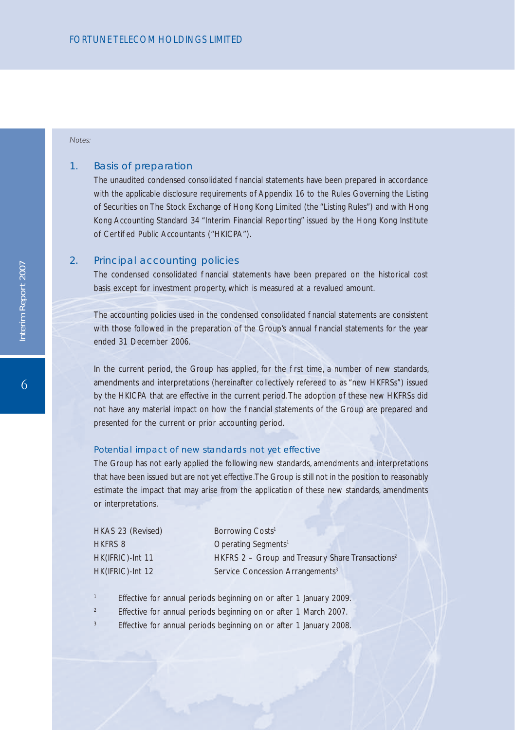#### *Notes:*

#### 1. Basis of preparation

The unaudited condensed consolidated nancial statements have been prepared in accordance with the applicable disclosure requirements of Appendix 16 to the Rules Governing the Listing of Securities on The Stock Exchange of Hong Kong Limited (the "Listing Rules") and with Hong Kong Accounting Standard 34 "Interim Financial Reporting" issued by the Hong Kong Institute of Certi ed Public Accountants ("HKICPA").

#### 2. Principal accounting policies

The condensed consolidated nancial statements have been prepared on the historical cost basis except for investment property, which is measured at a revalued amount.

The accounting policies used in the condensed consolidated nancial statements are consistent with those followed in the preparation of the Group's annual nancial statements for the year ended 31 December 2006.

In the current period, the Group has applied, for the rst time, a number of new standards, amendments and interpretations (hereinafter collectively refereed to as "new HKFRSs") issued by the HKICPA that are effective in the current period. The adoption of these new HKFRSs did not have any material impact on how the nancial statements of the Group are prepared and presented for the current or prior accounting period.

#### Potential impact of new standards not yet effective

The Group has not early applied the following new standards, amendments and interpretations that have been issued but are not yet effective. The Group is still not in the position to reasonably estimate the impact that may arise from the application of these new standards, amendments or interpretations.

| HKAS 23 (Revised) | Borrowing Costs <sup>1</sup>                                 |
|-------------------|--------------------------------------------------------------|
| <b>HKFRS 8</b>    | Operating Segments <sup>1</sup>                              |
| HK(IFRIC)-Int 11  | HKFRS 2 - Group and Treasury Share Transactions <sup>2</sup> |
| HK(IFRIC)-Int 12  | Service Concession Arrangements <sup>3</sup>                 |

- <sup>1</sup> Effective for annual periods beginning on or after 1 January 2009.
- <sup>2</sup> Effective for annual periods beginning on or after 1 March 2007.
- Effective for annual periods beginning on or after 1 January 2008.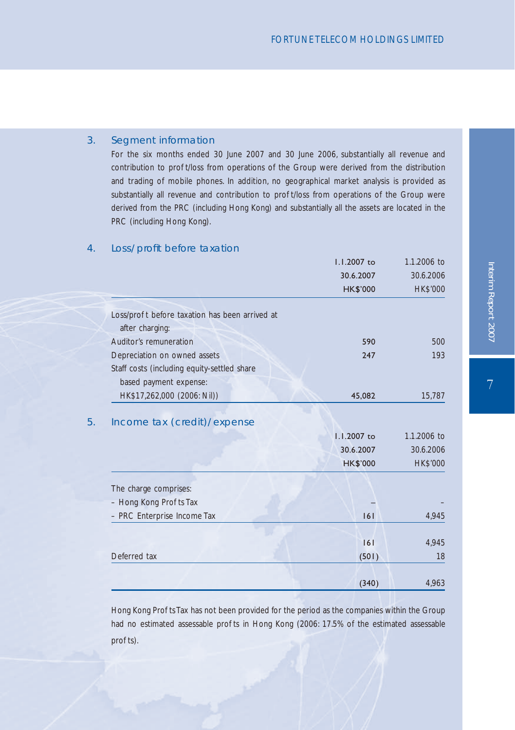### 3. Segment information

For the six months ended 30 June 2007 and 30 June 2006, substantially all revenue and contribution to pro t/loss from operations of the Group were derived from the distribution and trading of mobile phones. In addition, no geographical market analysis is provided as substantially all revenue and contribution to pro t/loss from operations of the Group were derived from the PRC (including Hong Kong) and substantially all the assets are located in the PRC (including Hong Kong).

### 4. Loss/profit before taxation

|                                                | 1.1.2007 to                                 | 1.1.2006 to                                 |
|------------------------------------------------|---------------------------------------------|---------------------------------------------|
|                                                | 30.6.2007                                   | 30.6.2006                                   |
|                                                | <b>HK\$'000</b>                             | <b>HK\$'000</b>                             |
| Loss/pro t before taxation has been arrived at |                                             |                                             |
| after charging:                                |                                             |                                             |
| Auditor's remuneration                         | 590                                         | 500                                         |
| Depreciation on owned assets                   | 247                                         | 193                                         |
| Staff costs (including equity-settled share    |                                             |                                             |
| based payment expense:                         |                                             |                                             |
| HK\$17,262,000 (2006: Nil))                    | 45,082                                      | 15,787                                      |
|                                                |                                             |                                             |
| Income tax (credit)/expense                    | 1.1.2007 to<br>30.6.2007<br><b>HK\$'000</b> | 1.1.2006 to<br>30.6.2006<br><b>HK\$'000</b> |
| The charge comprises:                          |                                             |                                             |
| - Hong Kong Pro ts Tax                         |                                             |                                             |
| - PRC Enterprise Income Tax                    | 6                                           | 4,945                                       |
|                                                |                                             |                                             |
|                                                | 6                                           | 4,945                                       |
| Deferred tax                                   | (501)                                       | 18                                          |

Hong Kong Pro ts Tax has not been provided for the period as the companies within the Group had no estimated assessable pro ts in Hong Kong (2006: 17.5% of the estimated assessable pro ts).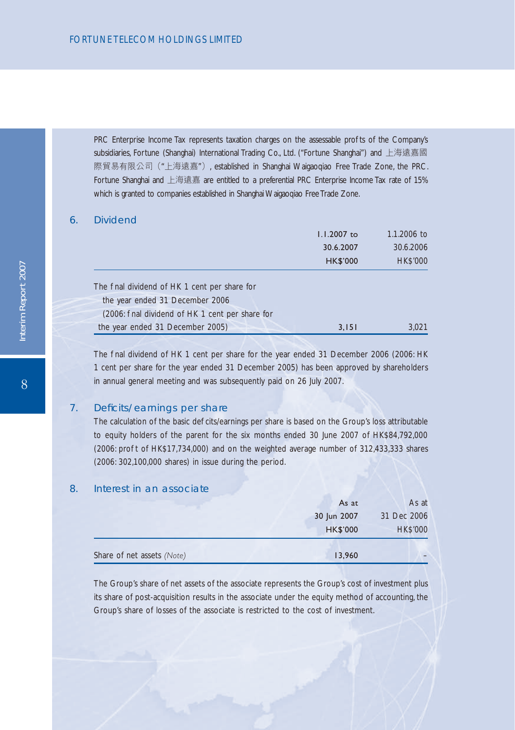PRC Enterprise Income Tax represents taxation charges on the assessable pro ts of the Company's subsidiaries, Fortune (Shanghai) International Trading Co., Ltd. ("Fortune Shanghai") and 上海遠嘉國 際貿易有限公司("上海遠嘉"), established in Shanghai Waigaoqiao Free Trade Zone, the PRC. Fortune Shanghai and 上海遠嘉 are entitled to a preferential PRC Enterprise Income Tax rate of 15% which is granted to companies established in Shanghai Waigaoqiao Free Trade Zone.

#### 6. Dividend

|                                                | 1.1.2007 to     | 1.1.2006 to     |
|------------------------------------------------|-----------------|-----------------|
|                                                | 30.6.2007       | 30.6.2006       |
|                                                | <b>HK\$'000</b> | <b>HK\$'000</b> |
| The nal dividend of HK 1 cent per share for    |                 |                 |
| the year ended 31 December 2006                |                 |                 |
| (2006: nal dividend of HK 1 cent per share for |                 |                 |
| the year ended 31 December 2005)               | 3.151           | 3.021           |

The nal dividend of HK 1 cent per share for the year ended 31 December 2006 (2006: HK 1 cent per share for the year ended 31 December 2005) has been approved by shareholders in annual general meeting and was subsequently paid on 26 July 2007.

### 7. Deficits/earnings per share

The calculation of the basic de cits/earnings per share is based on the Group's loss attributable to equity holders of the parent for the six months ended 30 June 2007 of HK\$84,792,000 (2006: pro t of HK\$17,734,000) and on the weighted average number of 312,433,333 shares (2006: 302,100,000 shares) in issue during the period.

### 8. Interest in an associate

| Share of net assets (Note) | 13,960          |                 |
|----------------------------|-----------------|-----------------|
|                            | <b>HK\$'000</b> | <b>HK\$'000</b> |
|                            | 30 Jun 2007     | 31 Dec 2006     |
|                            | As at           | As at           |

The Group's share of net assets of the associate represents the Group's cost of investment plus its share of post-acquisition results in the associate under the equity method of accounting, the Group's share of losses of the associate is restricted to the cost of investment.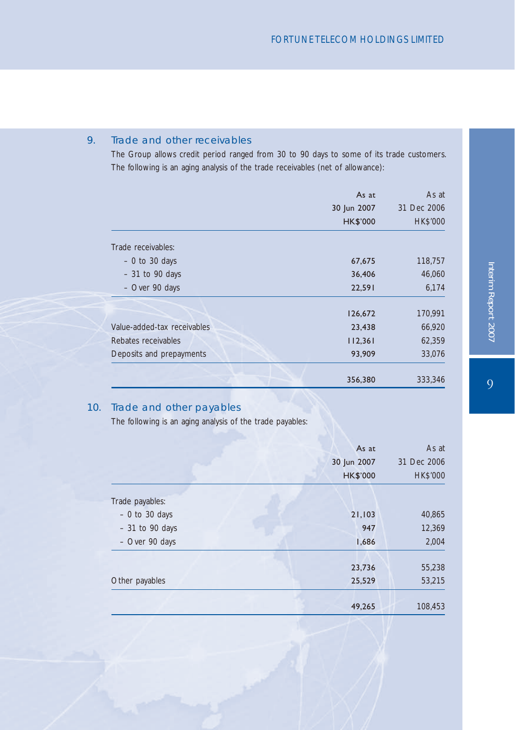### 9. Trade and other receivables

The Group allows credit period ranged from 30 to 90 days to some of its trade customers. The following is an aging analysis of the trade receivables (net of allowance):

|                             | As at<br>30 Jun 2007<br><b>HK\$'000</b> | As at<br>31 Dec 2006<br><b>HK\$'000</b> |
|-----------------------------|-----------------------------------------|-----------------------------------------|
| Trade receivables:          |                                         |                                         |
| $-0$ to 30 days             | 67,675                                  | 118,757                                 |
| $-31$ to 90 days            | 36,406                                  | 46,060                                  |
| - Over 90 days              | 22,591                                  | 6,174                                   |
|                             | 126,672                                 | 170,991                                 |
| Value-added-tax receivables | 23,438                                  | 66,920                                  |
| Rebates receivables         | 112,361                                 | 62,359                                  |
| Deposits and prepayments    | 93,909                                  | 33,076                                  |
|                             | 356,380                                 | 333,346                                 |

### 10. Trade and other payables

The following is an aging analysis of the trade payables:

| 53,215               |
|----------------------|
|                      |
| 55,238               |
| 2,004                |
| 12,369               |
| 40,865               |
|                      |
| <b>HK\$'000</b>      |
| As at<br>31 Dec 2006 |
|                      |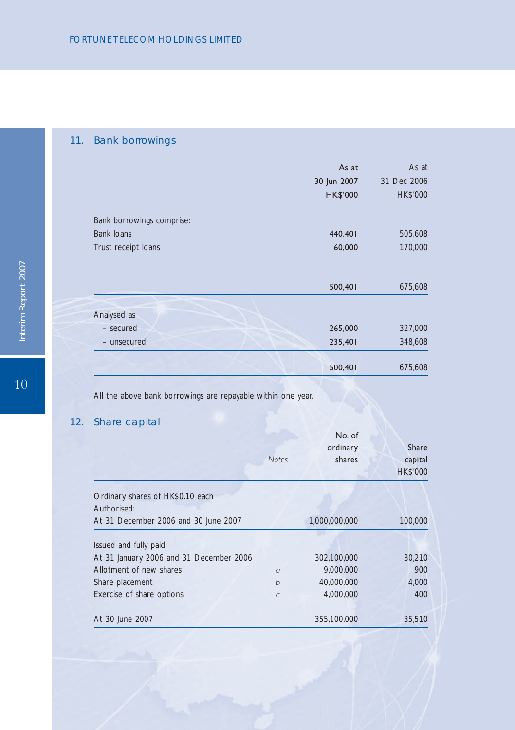# 11. Bank borrowings

|                           | As at<br>30 Jun 2007<br><b>HK\$'000</b> | As at<br>31 Dec 2006<br>HK\$'000 |
|---------------------------|-----------------------------------------|----------------------------------|
|                           |                                         |                                  |
| Bank borrowings comprise: |                                         |                                  |
| <b>Bank loans</b>         | 440,401                                 | 505,608                          |
| Trust receipt loans       | 60,000                                  | 170,000                          |
|                           |                                         |                                  |
|                           | 500,401                                 | 675,608                          |
| Analysed as               |                                         |                                  |
| - secured                 | 265,000                                 | 327,000                          |
| - unsecured               | 235,401                                 | 348,608                          |
|                           | 500,401                                 | 675,608                          |

All the above bank borrowings are repayable within one year.

# 12. Share capital

|                                                 | <b>Notes</b> | No. of<br>ordinary<br>shares | Share<br>capital<br><b>HK\$'000</b> |
|-------------------------------------------------|--------------|------------------------------|-------------------------------------|
| Ordinary shares of HK\$0.10 each<br>Authorised: |              |                              |                                     |
| At 31 December 2006 and 30 June 2007            |              | 1,000,000,000                | 100,000                             |
| Issued and fully paid                           |              |                              |                                     |
| At 31 January 2006 and 31 December 2006         |              | 302,100,000                  | 30,210                              |
| Allotment of new shares                         | $\sigma$     | 9.000.000                    | 900                                 |
| Share placement                                 | h            | 40,000,000                   | 4,000                               |
| Exercise of share options                       | C            | 4,000,000                    | 400                                 |
| At 30 June 2007                                 |              | 355,100,000                  | 35,510                              |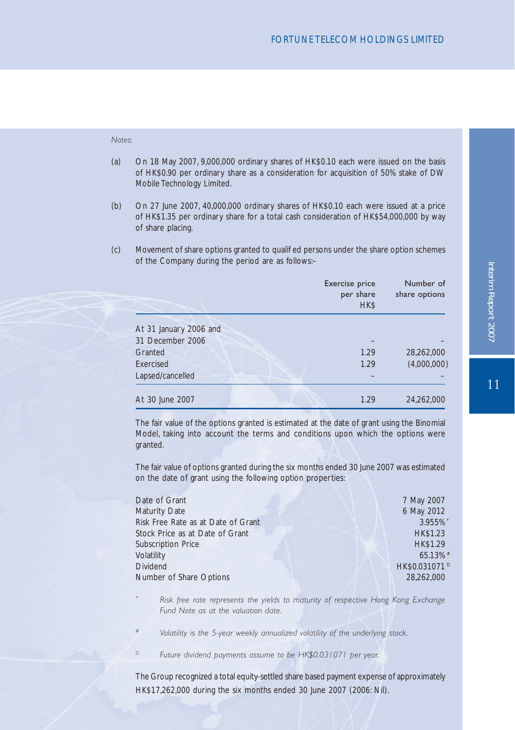#### *Notes:*

- (a) On 18 May 2007, 9,000,000 ordinary shares of HK\$0.10 each were issued on the basis of HK\$0.90 per ordinary share as a consideration for acquisition of 50% stake of DW Mobile Technology Limited.
- (b) On 27 June 2007, 40,000,000 ordinary shares of HK\$0.10 each were issued at a price of HK\$1.35 per ordinary share for a total cash consideration of HK\$54,000,000 by way of share placing.
- (c) Movement of share options granted to qualied persons under the share option schemes of the Company during the period are as follows:–

|                        | Exercise price<br>per share<br>HK\$ | Number of<br>share options |
|------------------------|-------------------------------------|----------------------------|
| At 31 January 2006 and |                                     |                            |
| 31 December 2006       |                                     |                            |
| Granted                | 1.29                                | 28,262,000                 |
| Exercised              | 1.29                                | (4,000,000)                |
| Lapsed/cancelled       |                                     |                            |
| At 30 June 2007        | 1.29                                | 24,262,000                 |

The fair value of the options granted is estimated at the date of grant using the Binomial Model, taking into account the terms and conditions upon which the options were granted.

The fair value of options granted during the six months ended 30 June 2007 was estimated on the date of grant using the following option properties:

| Date of Grant                      | 7 May 2007                |
|------------------------------------|---------------------------|
| Maturity Date                      | 6 May 2012                |
| Risk Free Rate as at Date of Grant | 3.955%                    |
| Stock Price as at Date of Grant    | <b>HK\$1.23</b>           |
| Subscription Price                 | HK\$1.29                  |
| Volatility                         | $65.13%$ #                |
| Dividend                           | HK\$0.031071 <sup>D</sup> |
| Number of Share Options            | 28,262,000                |
|                                    |                           |

*\* Risk free rate represents the yields to maturity of respective Hong Kong Exchange Fund Note as at the valuation date.*

- *# Volatility is the 5-year weekly annualized volatility of the underlying stock.*
- *D Future dividend payments assume to be HK\$0.031071 per year.*

The Group recognized a total equity-settled share based payment expense of approximately HK\$17,262,000 during the six months ended 30 June 2007 (2006: Nil).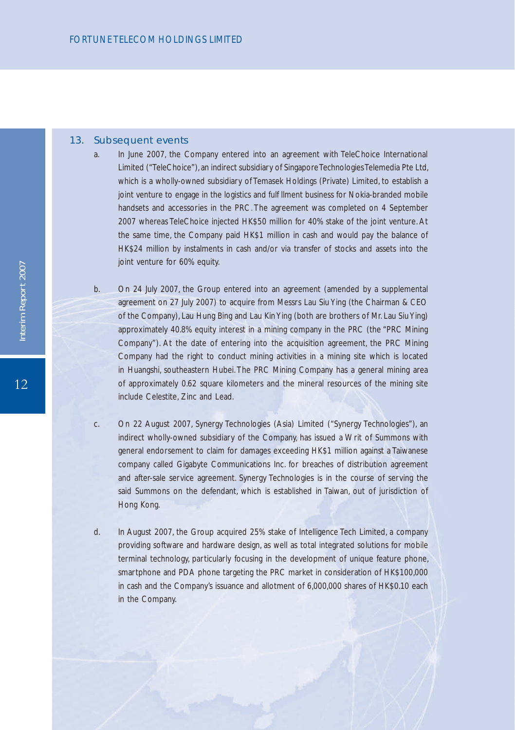#### 13. Subsequent events

- a. In June 2007, the Company entered into an agreement with TeleChoice International Limited ("TeleChoice"), an indirect subsidiary of Singapore Technologies Telemedia Pte Ltd, which is a wholly-owned subsidiary of Temasek Holdings (Private) Limited, to establish a joint venture to engage in the logistics and ful Ilment business for Nokia-branded mobile handsets and accessories in the PRC. The agreement was completed on 4 September 2007 whereas TeleChoice injected HK\$50 million for 40% stake of the joint venture. At the same time, the Company paid HK\$1 million in cash and would pay the balance of HK\$24 million by instalments in cash and/or via transfer of stocks and assets into the joint venture for 60% equity.
- b. On 24 July 2007, the Group entered into an agreement (amended by a supplemental agreement on 27 July 2007) to acquire from Messrs Lau Siu Ying (the Chairman & CEO of the Company), Lau Hung Bing and Lau Kin Ying (both are brothers of Mr. Lau Siu Ying) approximately 40.8% equity interest in a mining company in the PRC (the "PRC Mining Company"). At the date of entering into the acquisition agreement, the PRC Mining Company had the right to conduct mining activities in a mining site which is located in Huangshi, southeastern Hubei. The PRC Mining Company has a general mining area of approximately 0.62 square kilometers and the mineral resources of the mining site include Celestite, Zinc and Lead.
- c. On 22 August 2007, Synergy Technologies (Asia) Limited ("Synergy Technologies"), an indirect wholly-owned subsidiary of the Company, has issued a Writ of Summons with general endorsement to claim for damages exceeding HK\$1 million against a Taiwanese company called Gigabyte Communications Inc. for breaches of distribution agreement and after-sale service agreement. Synergy Technologies is in the course of serving the said Summons on the defendant, which is established in Taiwan, out of jurisdiction of Hong Kong.
- d. In August 2007, the Group acquired 25% stake of Intelligence Tech Limited, a company providing software and hardware design, as well as total integrated solutions for mobile terminal technology, particularly focusing in the development of unique feature phone, smartphone and PDA phone targeting the PRC market in consideration of HK\$100,000 in cash and the Company's issuance and allotment of 6,000,000 shares of HK\$0.10 each in the Company.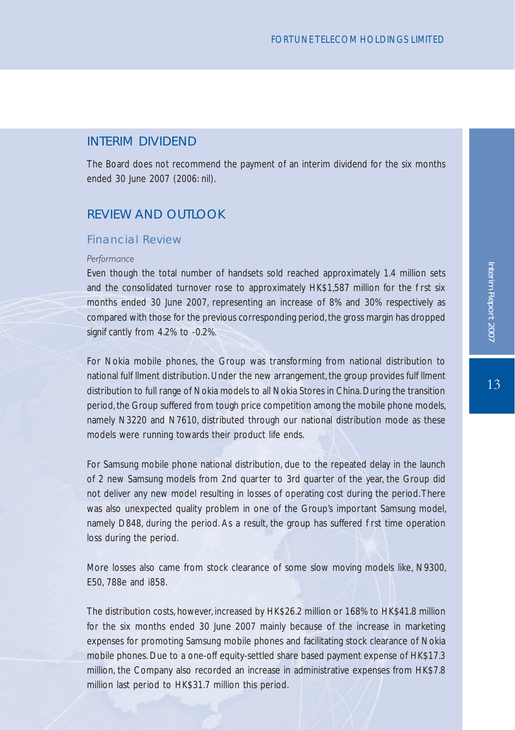### INTERIM DIVIDEND

The Board does not recommend the payment of an interim dividend for the six months ended 30 June 2007 (2006: nil).

## REVIEW AND OUTLOOK

### Financial Review

#### *Performance*

Even though the total number of handsets sold reached approximately 1.4 million sets and the consolidated turnover rose to approximately HK\$1,587 million for the rst six months ended 30 June 2007, representing an increase of 8% and 30% respectively as compared with those for the previous corresponding period, the gross margin has dropped signi cantly from 4.2% to -0.2%.

For Nokia mobile phones, the Group was transforming from national distribution to national ful Ilment distribution. Under the new arrangement, the group provides ful Ilment distribution to full range of Nokia models to all Nokia Stores in China. During the transition period, the Group suffered from tough price competition among the mobile phone models, namely N3220 and N7610, distributed through our national distribution mode as these models were running towards their product life ends.

For Samsung mobile phone national distribution, due to the repeated delay in the launch of 2 new Samsung models from 2nd quarter to 3rd quarter of the year, the Group did not deliver any new model resulting in losses of operating cost during the period. There was also unexpected quality problem in one of the Group's important Samsung model, namely D848, during the period. As a result, the group has suffered rst time operation loss during the period.

More losses also came from stock clearance of some slow moving models like, N9300, E50, 788e and i858.

The distribution costs, however, increased by HK\$26.2 million or 168% to HK\$41.8 million for the six months ended 30 June 2007 mainly because of the increase in marketing expenses for promoting Samsung mobile phones and facilitating stock clearance of Nokia mobile phones. Due to a one-off equity-settled share based payment expense of HK\$17.3 million, the Company also recorded an increase in administrative expenses from HK\$7.8 million last period to HK\$31.7 million this period.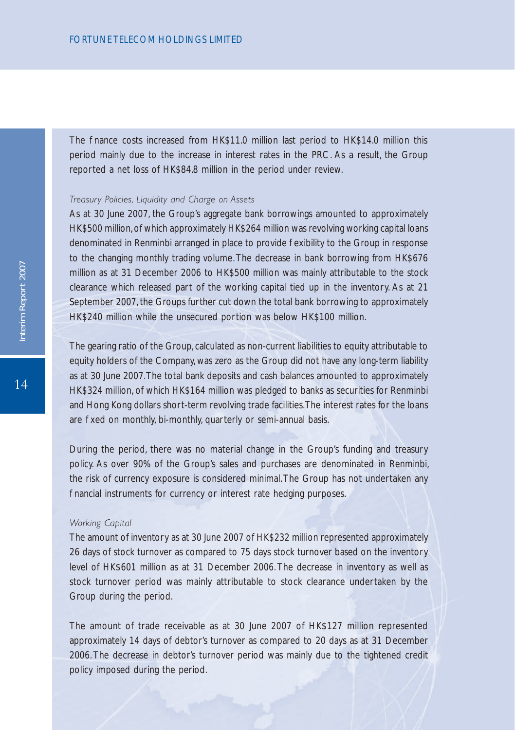The nance costs increased from HK\$11.0 million last period to HK\$14.0 million this period mainly due to the increase in interest rates in the PRC. As a result, the Group reported a net loss of HK\$84.8 million in the period under review.

### *Treasury Policies, Liquidity and Charge on Assets*

As at 30 June 2007, the Group's aggregate bank borrowings amounted to approximately HK\$500 million, of which approximately HK\$264 million was revolving working capital loans denominated in Renminbi arranged in place to provide exibility to the Group in response to the changing monthly trading volume. The decrease in bank borrowing from HK\$676 million as at 31 December 2006 to HK\$500 million was mainly attributable to the stock clearance which released part of the working capital tied up in the inventory. As at 21 September 2007, the Groups further cut down the total bank borrowing to approximately HK\$240 million while the unsecured portion was below HK\$100 million.

The gearing ratio of the Group, calculated as non-current liabilities to equity attributable to equity holders of the Company, was zero as the Group did not have any long-term liability as at 30 June 2007. The total bank deposits and cash balances amounted to approximately HK\$324 million, of which HK\$164 million was pledged to banks as securities for Renminbi and Hong Kong dollars short-term revolving trade facilities. The interest rates for the loans are xed on monthly, bi-monthly, quarterly or semi-annual basis.

During the period, there was no material change in the Group's funding and treasury policy. As over 90% of the Group's sales and purchases are denominated in Renminbi, the risk of currency exposure is considered minimal. The Group has not undertaken any hancial instruments for currency or interest rate hedging purposes.

#### *Working Capital*

The amount of inventory as at 30 June 2007 of HK\$232 million represented approximately 26 days of stock turnover as compared to 75 days stock turnover based on the inventory level of HK\$601 million as at 31 December 2006. The decrease in inventory as well as stock turnover period was mainly attributable to stock clearance undertaken by the Group during the period.

The amount of trade receivable as at 30 June 2007 of HK\$127 million represented approximately 14 days of debtor's turnover as compared to 20 days as at 31 December 2006. The decrease in debtor's turnover period was mainly due to the tightened credit policy imposed during the period.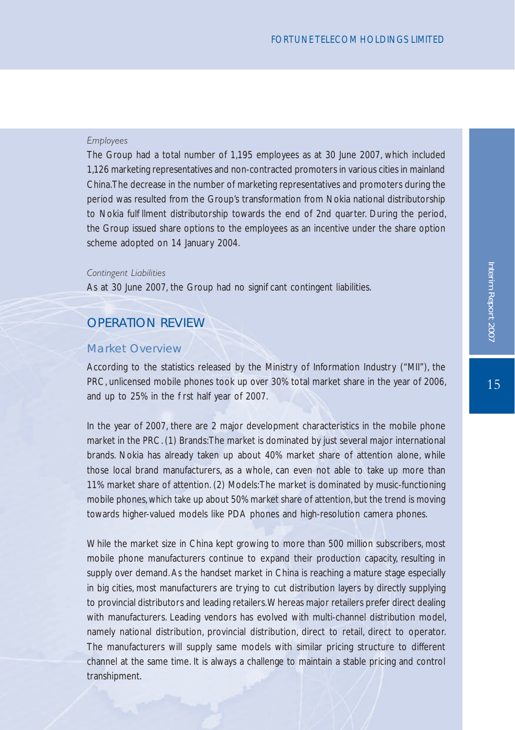### *Employees*

The Group had a total number of 1,195 employees as at 30 June 2007, which included 1,126 marketing representatives and non-contracted promoters in various cities in mainland China. The decrease in the number of marketing representatives and promoters during the period was resulted from the Group's transformation from Nokia national distributorship to Nokia ful Ilment distributorship towards the end of 2nd quarter. During the period, the Group issued share options to the employees as an incentive under the share option scheme adopted on 14 January 2004.

#### *Contingent Liabilities*

As at 30 June 2007, the Group had no signil cant contingent liabilities.

## OPERATION REVIEW

### Market Overview

According to the statistics released by the Ministry of Information Industry ("MII"), the PRC, unlicensed mobile phones took up over 30% total market share in the year of 2006, and up to 25% in the rst half year of 2007.

In the year of 2007, there are 2 major development characteristics in the mobile phone market in the PRC. (1) Brands: The market is dominated by just several major international brands. Nokia has already taken up about 40% market share of attention alone, while those local brand manufacturers, as a whole, can even not able to take up more than 11% market share of attention. (2) Models: The market is dominated by music-functioning mobile phones, which take up about 50% market share of attention, but the trend is moving towards higher-valued models like PDA phones and high-resolution camera phones.

While the market size in China kept growing to more than 500 million subscribers, most mobile phone manufacturers continue to expand their production capacity, resulting in supply over demand. As the handset market in China is reaching a mature stage especially in big cities, most manufacturers are trying to cut distribution layers by directly supplying to provincial distributors and leading retailers. Whereas major retailers prefer direct dealing with manufacturers. Leading vendors has evolved with multi-channel distribution model, namely national distribution, provincial distribution, direct to retail, direct to operator. The manufacturers will supply same models with similar pricing structure to different channel at the same time. It is always a challenge to maintain a stable pricing and control transhipment.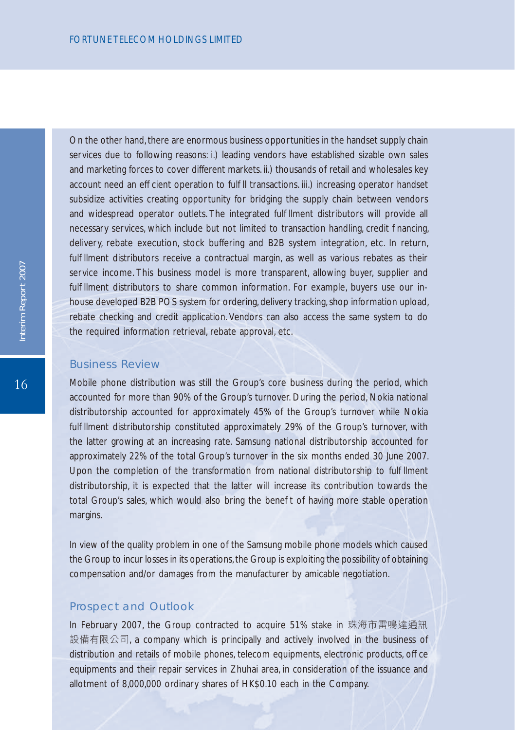On the other hand, there are enormous business opportunities in the handset supply chain services due to following reasons: i.) leading vendors have established sizable own sales and marketing forces to cover different markets. ii.) thousands of retail and wholesales key account need an ef cient operation to ful II transactions. iii.) increasing operator handset subsidize activities creating opportunity for bridging the supply chain between vendors and widespread operator outlets. The integrated ful Ilment distributors will provide all necessary services, which include but not limited to transaction handling, credit nancing, delivery, rebate execution, stock buffering and B2B system integration, etc. In return, ful Ilment distributors receive a contractual margin, as well as various rebates as their service income. This business model is more transparent, allowing buyer, supplier and ful Ilment distributors to share common information. For example, buyers use our inhouse developed B2B POS system for ordering, delivery tracking, shop information upload, rebate checking and credit application. Vendors can also access the same system to do the required information retrieval, rebate approval, etc.

#### Business Review

Mobile phone distribution was still the Group's core business during the period, which accounted for more than 90% of the Group's turnover. During the period, Nokia national distributorship accounted for approximately 45% of the Group's turnover while Nokia ful Ilment distributorship constituted approximately 29% of the Group's turnover, with the latter growing at an increasing rate. Samsung national distributorship accounted for approximately 22% of the total Group's turnover in the six months ended 30 June 2007. Upon the completion of the transformation from national distributorship to ful Ilment distributorship, it is expected that the latter will increase its contribution towards the total Group's sales, which would also bring the bene t of having more stable operation margins.

In view of the quality problem in one of the Samsung mobile phone models which caused the Group to incur losses in its operations, the Group is exploiting the possibility of obtaining compensation and/or damages from the manufacturer by amicable negotiation.

#### Prospect and Outlook

In February 2007, the Group contracted to acquire 51% stake in 珠海市雷鳴達通訊 設備有限公司, a company which is principally and actively involved in the business of distribution and retails of mobile phones, telecom equipments, electronic products, of ce equipments and their repair services in Zhuhai area, in consideration of the issuance and allotment of 8,000,000 ordinary shares of HK\$0.10 each in the Company.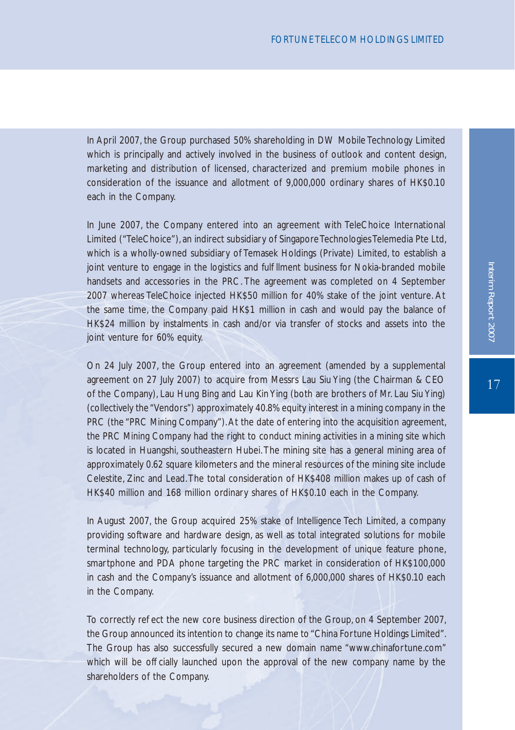In April 2007, the Group purchased 50% shareholding in DW Mobile Technology Limited which is principally and actively involved in the business of outlook and content design, marketing and distribution of licensed, characterized and premium mobile phones in consideration of the issuance and allotment of 9,000,000 ordinary shares of HK\$0.10 each in the Company.

In June 2007, the Company entered into an agreement with TeleChoice International Limited ("TeleChoice"), an indirect subsidiary of Singapore Technologies Telemedia Pte Ltd, which is a wholly-owned subsidiary of Temasek Holdings (Private) Limited, to establish a joint venture to engage in the logistics and ful Ilment business for Nokia-branded mobile handsets and accessories in the PRC. The agreement was completed on 4 September 2007 whereas TeleChoice injected HK\$50 million for 40% stake of the joint venture. At the same time, the Company paid HK\$1 million in cash and would pay the balance of HK\$24 million by instalments in cash and/or via transfer of stocks and assets into the joint venture for 60% equity.

On 24 July 2007, the Group entered into an agreement (amended by a supplemental agreement on 27 July 2007) to acquire from Messrs Lau Siu Ying (the Chairman & CEO of the Company), Lau Hung Bing and Lau Kin Ying (both are brothers of Mr. Lau Siu Ying) (collectively the "Vendors") approximately 40.8% equity interest in a mining company in the PRC (the "PRC Mining Company"). At the date of entering into the acquisition agreement, the PRC Mining Company had the right to conduct mining activities in a mining site which is located in Huangshi, southeastern Hubei. The mining site has a general mining area of approximately 0.62 square kilometers and the mineral resources of the mining site include Celestite, Zinc and Lead. The total consideration of HK\$408 million makes up of cash of HK\$40 million and 168 million ordinary shares of HK\$0.10 each in the Company.

In August 2007, the Group acquired 25% stake of Intelligence Tech Limited, a company providing software and hardware design, as well as total integrated solutions for mobile terminal technology, particularly focusing in the development of unique feature phone, smartphone and PDA phone targeting the PRC market in consideration of HK\$100,000 in cash and the Company's issuance and allotment of 6,000,000 shares of HK\$0.10 each in the Company.

To correctly reject the new core business direction of the Group, on 4 September 2007, the Group announced its intention to change its name to "China Fortune Holdings Limited". The Group has also successfully secured a new domain name "www.chinafortune.com" which will be of cially launched upon the approval of the new company name by the shareholders of the Company.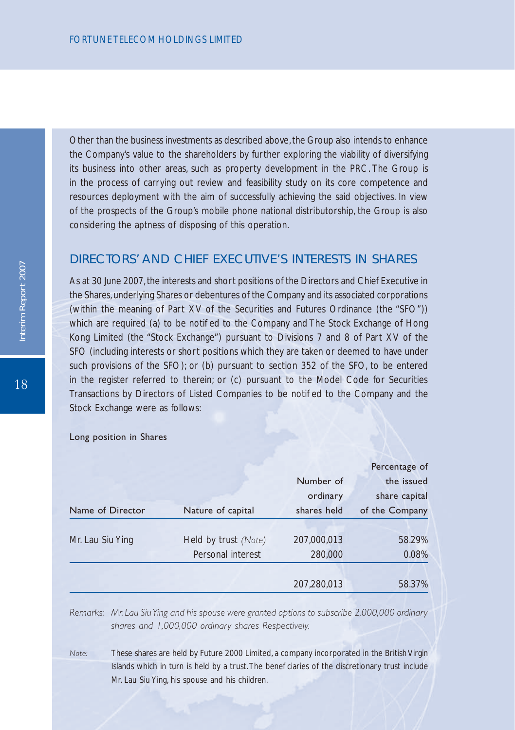Other than the business investments as described above, the Group also intends to enhance the Company's value to the shareholders by further exploring the viability of diversifying its business into other areas, such as property development in the PRC. The Group is in the process of carrying out review and feasibility study on its core competence and resources deployment with the aim of successfully achieving the said objectives. In view of the prospects of the Group's mobile phone national distributorship, the Group is also considering the aptness of disposing of this operation.

## DIRECTORS' AND CHIEF EXECUTIVE'S INTERESTS IN SHARES

As at 30 June 2007, the interests and short positions of the Directors and Chief Executive in the Shares, underlying Shares or debentures of the Company and its associated corporations (within the meaning of Part XV of the Securities and Futures Ordinance (the "SFO")) which are required (a) to be notified to the Company and The Stock Exchange of Hong Kong Limited (the "Stock Exchange") pursuant to Divisions 7 and 8 of Part XV of the SFO (including interests or short positions which they are taken or deemed to have under such provisions of the SFO); or (b) pursuant to section 352 of the SFO, to be entered in the register referred to therein; or (c) pursuant to the Model Code for Securities Transactions by Directors of Listed Companies to be noti ed to the Company and the Stock Exchange were as follows:

|                  |                      |             | Percentage of  |  |
|------------------|----------------------|-------------|----------------|--|
|                  |                      | Number of   | the issued     |  |
|                  |                      | ordinary    | share capital  |  |
| Name of Director | Nature of capital    | shares held | of the Company |  |
|                  |                      |             |                |  |
| Mr. Lau Siu Ying | Held by trust (Note) | 207,000,013 | 58.29%         |  |
|                  | Personal interest    | 280,000     | 0.08%          |  |
|                  |                      |             |                |  |
|                  |                      | 207,280,013 | 58.37%         |  |
|                  |                      |             |                |  |

#### Long position in Shares

*Remarks: Mr. Lau SiuYing and his spouse were granted options to subscribe 2,000,000 ordinary shares and 1,000,000 ordinary shares Respectively.*

*Note:*  These shares are held by Future 2000 Limited, a company incorporated in the British Virgin Islands which in turn is held by a trust. The bene ciaries of the discretionary trust include Mr. Lau Siu Ying, his spouse and his children.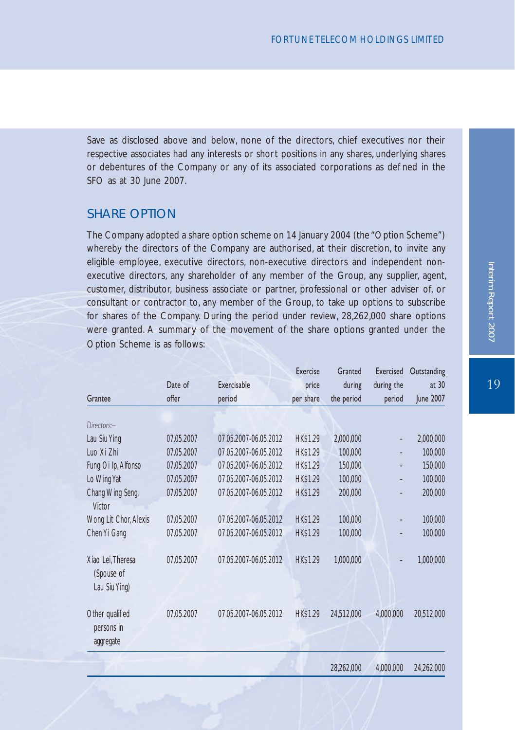Save as disclosed above and below, none of the directors, chief executives nor their respective associates had any interests or short positions in any shares, underlying shares or debentures of the Company or any of its associated corporations as de ned in the  $SFO$  as at 30 June 2007.

## SHARE OPTION

The Company adopted a share option scheme on 14 January 2004 (the "Option Scheme") whereby the directors of the Company are authorised, at their discretion, to invite any eligible employee, executive directors, non-executive directors and independent nonexecutive directors, any shareholder of any member of the Group, any supplier, agent, customer, distributor, business associate or partner, professional or other adviser of, or consultant or contractor to, any member of the Group, to take up options to subscribe for shares of the Company. During the period under review, 28,262,000 share options were granted. A summary of the movement of the share options granted under the Option Scheme is as follows:

|                       |            |                       | Exercise        | Granted    | Exercised                | Outstanding |
|-----------------------|------------|-----------------------|-----------------|------------|--------------------------|-------------|
|                       | Date of    | Exercisable           | price           | during     | during the               | at 30       |
| Grantee               | offer      | period                | per share       | the period | period                   | June 2007   |
|                       |            |                       |                 |            |                          |             |
| Directors:-           |            |                       |                 |            |                          |             |
| Lau Siu Ying          | 07.05.2007 | 07.05.2007-06.05.2012 | <b>HK\$1.29</b> | 2,000,000  |                          | 2,000,000   |
| Luo Xi Zhi            | 07.05.2007 | 07.05.2007-06.05.2012 | <b>HK\$1.29</b> | 100,000    | $\overline{\phantom{0}}$ | 100,000     |
| Fung Oi Ip, Alfonso   | 07.05.2007 | 07.05.2007-06.05.2012 | <b>HK\$1.29</b> | 150,000    |                          | 150,000     |
| Lo Wing Yat           | 07.05.2007 | 07.05.2007-06.05.2012 | <b>HK\$1.29</b> | 100,000    |                          | 100,000     |
| Chang Wing Seng,      | 07.05.2007 | 07.05.2007-06.05.2012 | <b>HK\$1.29</b> | 200,000    |                          | 200,000     |
| Victor                |            |                       |                 |            |                          |             |
| Wong Lit Chor, Alexis | 07.05.2007 | 07.05.2007-06.05.2012 | <b>HK\$1.29</b> | 100,000    |                          | 100,000     |
| Chen Yi Gang          | 07.05.2007 | 07.05.2007-06.05.2012 | <b>HK\$1.29</b> | 100,000    |                          | 100,000     |
|                       |            |                       |                 |            |                          |             |
| Xiao Lei. Theresa     | 07.05.2007 | 07.05.2007-06.05.2012 | <b>HK\$1.29</b> | 1,000,000  |                          | 1,000,000   |
| (Spouse of            |            |                       |                 |            |                          |             |
| Lau Siu Ying)         |            |                       |                 |            |                          |             |
|                       |            |                       |                 |            |                          |             |
| Other quali ed        | 07.05.2007 | 07.05.2007-06.05.2012 | <b>HK\$1.29</b> | 24,512,000 | 4,000,000                | 20,512,000  |
| persons in            |            |                       |                 |            |                          |             |
| aggregate             |            |                       |                 |            |                          |             |
|                       |            |                       |                 |            |                          |             |

28,262,000 4,000,000 24,262,000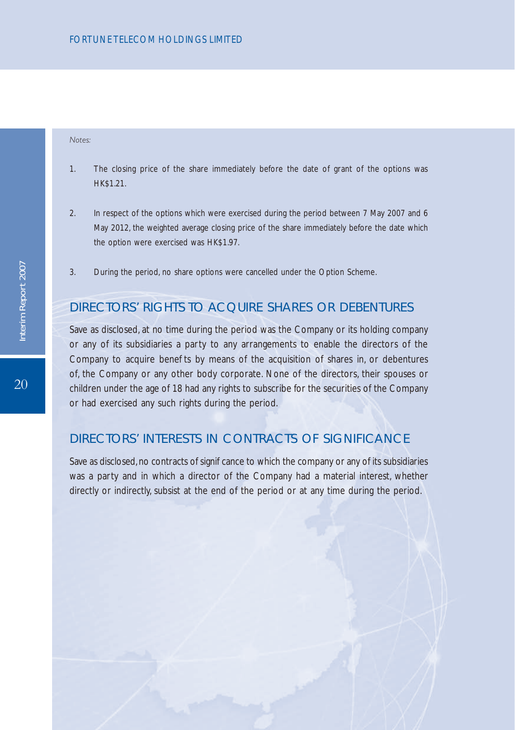#### *Notes:*

- 1. The closing price of the share immediately before the date of grant of the options was HK\$1.21.
- 2. In respect of the options which were exercised during the period between 7 May 2007 and 6 May 2012, the weighted average closing price of the share immediately before the date which the option were exercised was HK\$1.97.
- 3. During the period, no share options were cancelled under the Option Scheme.

## DIRECTORS' RIGHTS TO ACQUIRE SHARES OR DEBENTURES

Save as disclosed, at no time during the period was the Company or its holding company or any of its subsidiaries a party to any arrangements to enable the directors of the Company to acquire bene ts by means of the acquisition of shares in, or debentures of, the Company or any other body corporate. None of the directors, their spouses or children under the age of 18 had any rights to subscribe for the securities of the Company or had exercised any such rights during the period.

## DIRECTORS' INTERESTS IN CONTRACTS OF SIGNIFICANCE

Save as disclosed, no contracts of signicance to which the company or any of its subsidiaries was a party and in which a director of the Company had a material interest, whether directly or indirectly, subsist at the end of the period or at any time during the period.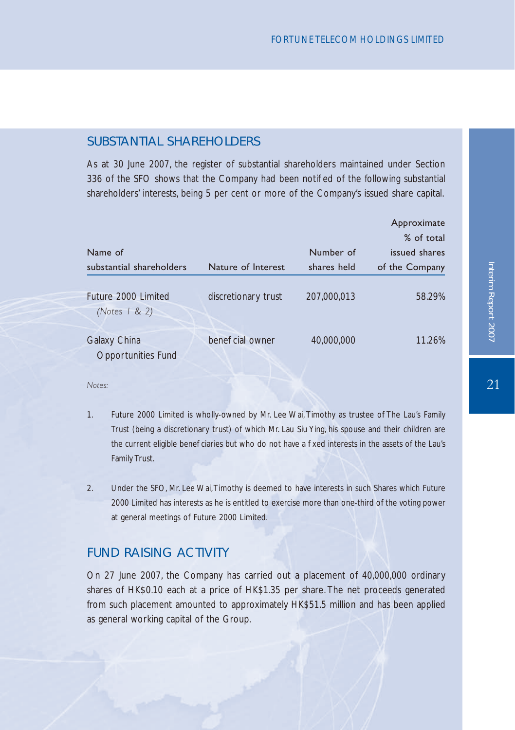## SUBSTANTIAL SHARFHOLDERS

As at 30 June 2007, the register of substantial shareholders maintained under Section 336 of the SFO shows that the Company had been noti ed of the following substantial shareholders' interests, being 5 per cent or more of the Company's issued share capital.

|                                         |                     |             | Approximate    |
|-----------------------------------------|---------------------|-------------|----------------|
|                                         |                     |             | % of total     |
| Name of                                 |                     | Number of   | issued shares  |
| substantial shareholders                | Nature of Interest  | shares held | of the Company |
| Future 2000 Limited<br>(Notes $1 & 2$ ) | discretionary trust | 207,000,013 | 58.29%         |
| Galaxy China<br>Opportunities Fund      | bene cial owner     | 40,000,000  | 11.26%         |

*Notes:*

- 1. Future 2000 Limited is wholly-owned by Mr. Lee Wai, Timothy as trustee of The Lau's Family Trust (being a discretionary trust) of which Mr. Lau Siu Ying, his spouse and their children are the current eligible bene ciaries but who do not have a xed interests in the assets of the Lau's Family Trust.
- 2. Under the SFO, Mr. Lee Wai, Timothy is deemed to have interests in such Shares which Future 2000 Limited has interests as he is entitled to exercise more than one-third of the voting power at general meetings of Future 2000 Limited.

## FUND RAISING ACTIVITY

On 27 June 2007, the Company has carried out a placement of 40,000,000 ordinary shares of HK\$0.10 each at a price of HK\$1.35 per share. The net proceeds generated from such placement amounted to approximately HK\$51.5 million and has been applied as general working capital of the Group.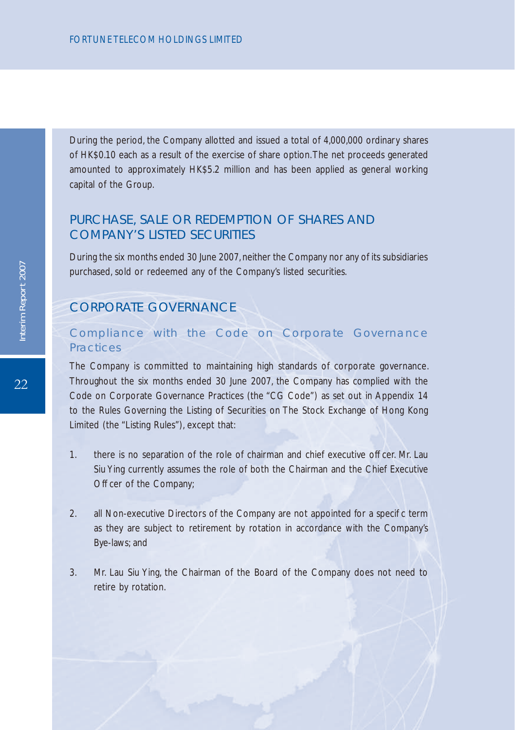During the period, the Company allotted and issued a total of 4,000,000 ordinary shares of HK\$0.10 each as a result of the exercise of share option. The net proceeds generated amounted to approximately HK\$5.2 million and has been applied as general working capital of the Group.

## PURCHASE, SALE OR REDEMPTION OF SHARES AND COMPANY'S LISTED SECURITIES

During the six months ended 30 June 2007, neither the Company nor any of its subsidiaries purchased, sold or redeemed any of the Company's listed securities.

# CORPORATE GOVERNANCE

## Compliance with the Code on Corporate Governance Practices

The Company is committed to maintaining high standards of corporate governance. Throughout the six months ended 30 June 2007, the Company has complied with the Code on Corporate Governance Practices (the "CG Code") as set out in Appendix 14 to the Rules Governing the Listing of Securities on The Stock Exchange of Hong Kong Limited (the "Listing Rules"), except that:

- 1. there is no separation of the role of chairman and chief executive of cer. Mr. Lau Siu Ying currently assumes the role of both the Chairman and the Chief Executive Of cer of the Company:
- 2. all Non-executive Directors of the Company are not appointed for a speci c term as they are subject to retirement by rotation in accordance with the Company's Bye-laws; and
- 3. Mr. Lau Siu Ying, the Chairman of the Board of the Company does not need to retire by rotation.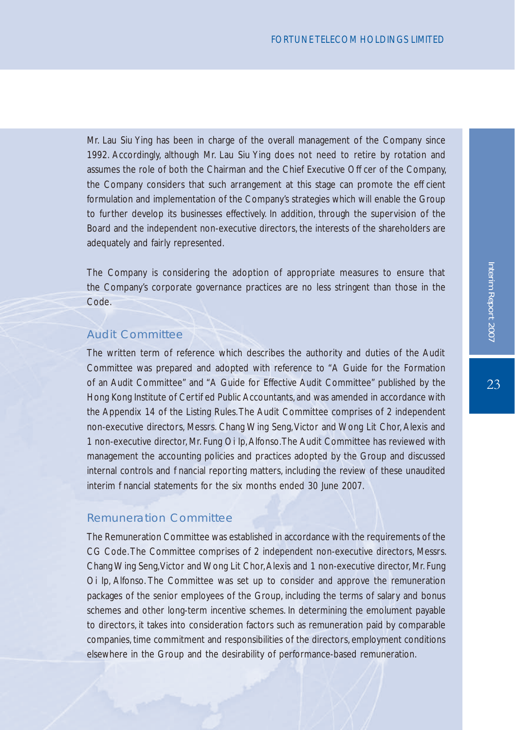Mr. Lau Siu Ying has been in charge of the overall management of the Company since 1992. Accordingly, although Mr. Lau Siu Ying does not need to retire by rotation and assumes the role of both the Chairman and the Chief Executive Of cer of the Company, the Company considers that such arrangement at this stage can promote the ef cient formulation and implementation of the Company's strategies which will enable the Group to further develop its businesses effectively. In addition, through the supervision of the Board and the independent non-executive directors, the interests of the shareholders are adequately and fairly represented.

The Company is considering the adoption of appropriate measures to ensure that the Company's corporate governance practices are no less stringent than those in the Code.

## Audit Committee

The written term of reference which describes the authority and duties of the Audit Committee was prepared and adopted with reference to "A Guide for the Formation of an Audit Committee" and "A Guide for Effective Audit Committee" published by the Hong Kong Institute of Certied Public Accountants, and was amended in accordance with the Appendix 14 of the Listing Rules. The Audit Committee comprises of 2 independent non-executive directors, Messrs. Chang Wing Seng, Victor and Wong Lit Chor, Alexis and 1 non-executive director, Mr. Fung Oi Ip, Alfonso. The Audit Committee has reviewed with management the accounting policies and practices adopted by the Group and discussed internal controls and nancial reporting matters, including the review of these unaudited interim hancial statements for the six months ended 30 June 2007.

### Remuneration Committee

The Remuneration Committee was established in accordance with the requirements of the CG Code. The Committee comprises of 2 independent non-executive directors, Messrs. Chang Wing Seng, Victor and Wong Lit Chor, Alexis and 1 non-executive director, Mr. Fung Oi Ip, Alfonso. The Committee was set up to consider and approve the remuneration packages of the senior employees of the Group, including the terms of salary and bonus schemes and other long-term incentive schemes. In determining the emolument payable to directors, it takes into consideration factors such as remuneration paid by comparable companies, time commitment and responsibilities of the directors, employment conditions elsewhere in the Group and the desirability of performance-based remuneration.